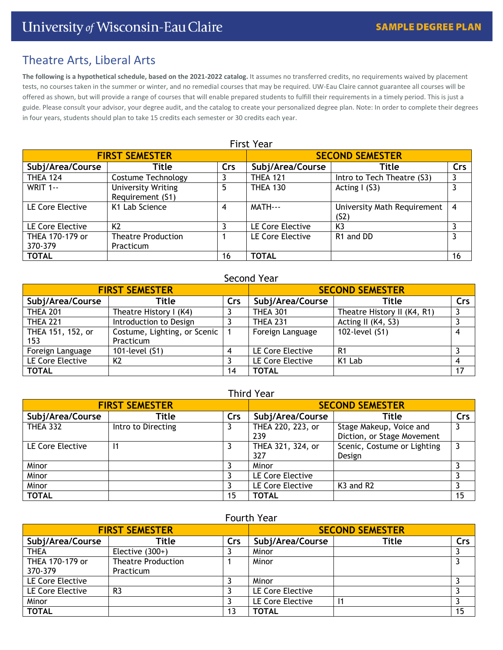# Theatre Arts, Liberal Arts

**The following is a hypothetical schedule, based on the 2021-2022 catalog.** It assumes no transferred credits, no requirements waived by placement tests, no courses taken in the summer or winter, and no remedial courses that may be required. UW-Eau Claire cannot guarantee all courses will be offered as shown, but will provide a range of courses that will enable prepared students to fulfill their requirements in a timely period. This is just a guide. Please consult your advisor, your degree audit, and the catalog to create your personalized degree plan. Note: In order to complete their degrees in four years, students should plan to take 15 credits each semester or 30 credits each year.

| <b>FIRST SEMESTER</b> |                                               |     | <b>SECOND SEMESTER</b> |                                                  |                |  |  |
|-----------------------|-----------------------------------------------|-----|------------------------|--------------------------------------------------|----------------|--|--|
| Subj/Area/Course      | Title                                         | Crs | Subj/Area/Course       | Title                                            | Crs            |  |  |
| <b>THEA 124</b>       | Costume Technology                            |     | <b>THEA 121</b>        | Intro to Tech Theatre (S3)                       | 3              |  |  |
| <b>WRIT 1--</b>       | <b>University Writing</b><br>Requirement (S1) | 5   | <b>THEA 130</b>        | Acting $I(53)$                                   | 3              |  |  |
| LE Core Elective      | K1 Lab Science                                | 4   | MATH---                | University Math Requirement<br>(S <sub>2</sub> ) | $\overline{4}$ |  |  |
| LE Core Elective      | K <sub>2</sub>                                |     | LE Core Elective       | K <sub>3</sub>                                   |                |  |  |
| THEA 170-179 or       | <b>Theatre Production</b>                     |     | LE Core Elective       | R <sub>1</sub> and D <sub>D</sub>                | 3              |  |  |
| 370-379               | Practicum                                     |     |                        |                                                  |                |  |  |
| <b>TOTAL</b>          |                                               | 16  | <b>TOTAL</b>           |                                                  | 16             |  |  |

# First Year

# Second Year

| <b>FIRST SEMESTER</b> |                              |     | <b>SECOND SEMESTER</b> |                             |     |
|-----------------------|------------------------------|-----|------------------------|-----------------------------|-----|
| Subj/Area/Course      | Title                        | Crs | Subj/Area/Course       | Title                       | Crs |
| <b>THEA 201</b>       | Theatre History I (K4)       |     | <b>THEA 301</b>        | Theatre History II (K4, R1) |     |
| <b>THEA 221</b>       | Introduction to Design       |     | <b>THEA 231</b>        | Acting II (K4, S3)          |     |
| THEA 151, 152, or     | Costume, Lighting, or Scenic |     | Foreign Language       | 102-level (S1)              |     |
| 153                   | Practicum                    |     |                        |                             |     |
| Foreign Language      | 101-level (S1)               |     | LE Core Elective       | R1                          |     |
| LE Core Elective      | K <sub>2</sub>               |     | LE Core Elective       | K1 Lab                      |     |
| <b>TOTAL</b>          |                              | 14  | <b>TOTAL</b>           |                             | 17  |

# Third Year

| <b>FIRST SEMESTER</b> |                    |     | <b>SECOND SEMESTER</b> |                                   |     |
|-----------------------|--------------------|-----|------------------------|-----------------------------------|-----|
| Subj/Area/Course      | Title              | Crs | Subj/Area/Course       | Title                             | Crs |
| <b>THEA 332</b>       | Intro to Directing |     | THEA 220, 223, or      | Stage Makeup, Voice and           |     |
|                       |                    |     | 239                    | Diction, or Stage Movement        |     |
| LE Core Elective      |                    |     | THEA 321, 324, or      | Scenic, Costume or Lighting       | 3   |
|                       |                    |     | 327                    | Design                            |     |
| Minor                 |                    |     | Minor                  |                                   |     |
| Minor                 |                    |     | LE Core Elective       |                                   |     |
| Minor                 |                    |     | LE Core Elective       | K <sub>3</sub> and R <sub>2</sub> |     |
| <b>TOTAL</b>          |                    | 15  | <b>TOTAL</b>           |                                   | 15  |

## Fourth Year

| <b>FIRST SEMESTER</b>      |                                        |     | <b>SECOND SEMESTER</b> |       |     |
|----------------------------|----------------------------------------|-----|------------------------|-------|-----|
| Subj/Area/Course           | Title                                  | Crs | Subj/Area/Course       | Title | Crs |
| <b>THEA</b>                | Elective $(300+)$                      |     | Minor                  |       |     |
| THEA 170-179 or<br>370-379 | <b>Theatre Production</b><br>Practicum |     | Minor                  |       |     |
| LE Core Elective           |                                        |     | Minor                  |       |     |
| LE Core Elective           | R <sub>3</sub>                         |     | LE Core Elective       |       |     |
| Minor                      |                                        |     | LE Core Elective       | 11    |     |
| <b>TOTAL</b>               |                                        | 13  | <b>TOTAL</b>           |       | 15  |